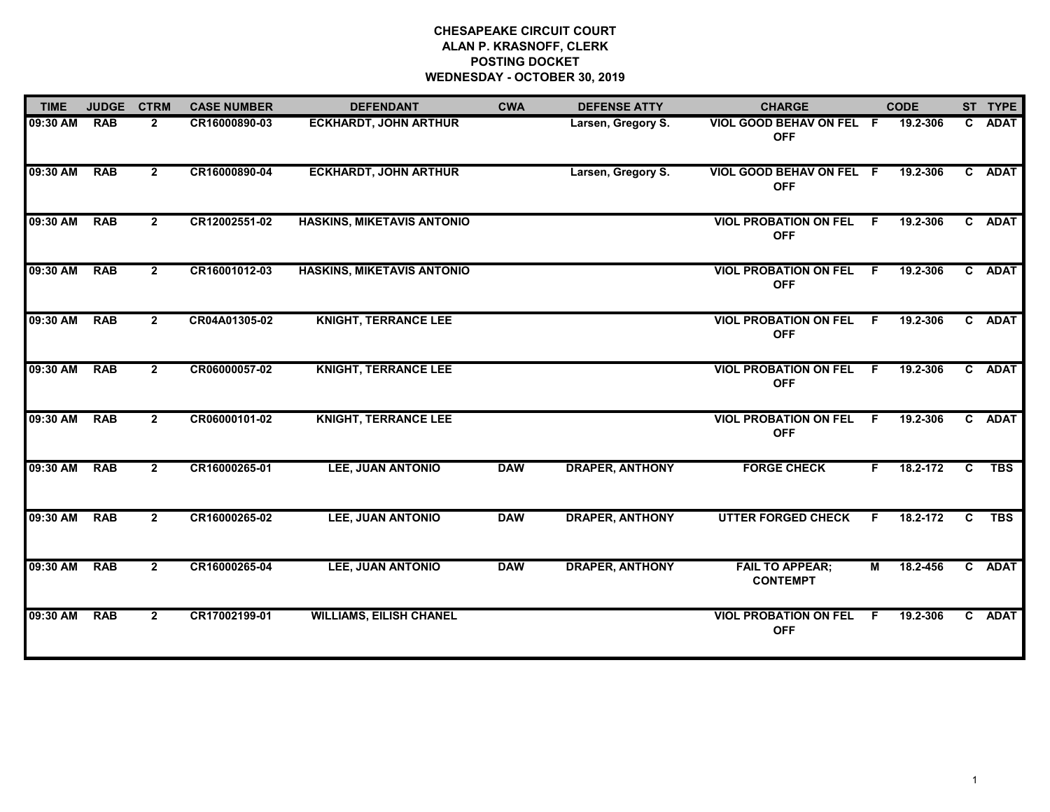# **CHESAPEAKE CIRCUIT COURT ALAN P. KRASNOFF, CLERK POSTING DOCKET WEDNESDAY - OCTOBER 30, 2019**

| <b>TIME</b> | <b>JUDGE</b> | <b>CTRM</b>    | <b>CASE NUMBER</b> | <b>DEFENDANT</b>                  | <b>CWA</b> | <b>DEFENSE ATTY</b>    | <b>CHARGE</b>                              |    | <b>CODE</b> |              | ST TYPE    |
|-------------|--------------|----------------|--------------------|-----------------------------------|------------|------------------------|--------------------------------------------|----|-------------|--------------|------------|
| 09:30 AM    | <b>RAB</b>   | $\mathbf{2}$   | CR16000890-03      | <b>ECKHARDT, JOHN ARTHUR</b>      |            | Larsen, Gregory S.     | VIOL GOOD BEHAV ON FEL F<br><b>OFF</b>     |    | 19.2-306    |              | C ADAT     |
| 09:30 AM    | <b>RAB</b>   | $\mathbf{2}$   | CR16000890-04      | <b>ECKHARDT, JOHN ARTHUR</b>      |            | Larsen, Gregory S.     | VIOL GOOD BEHAV ON FEL F<br><b>OFF</b>     |    | 19.2-306    |              | C ADAT     |
| 09:30 AM    | <b>RAB</b>   | $\overline{2}$ | CR12002551-02      | <b>HASKINS, MIKETAVIS ANTONIO</b> |            |                        | <b>VIOL PROBATION ON FEL</b><br><b>OFF</b> | F. | 19.2-306    |              | C ADAT     |
| 09:30 AM    | <b>RAB</b>   | $\overline{2}$ | CR16001012-03      | <b>HASKINS, MIKETAVIS ANTONIO</b> |            |                        | <b>VIOL PROBATION ON FEL</b><br><b>OFF</b> | F. | 19.2-306    |              | C ADAT     |
| 09:30 AM    | <b>RAB</b>   | $\overline{2}$ | CR04A01305-02      | <b>KNIGHT, TERRANCE LEE</b>       |            |                        | <b>VIOL PROBATION ON FEL</b><br><b>OFF</b> | F. | 19.2-306    |              | C ADAT     |
| 09:30 AM    | <b>RAB</b>   | $\overline{2}$ | CR06000057-02      | <b>KNIGHT, TERRANCE LEE</b>       |            |                        | <b>VIOL PROBATION ON FEL</b><br><b>OFF</b> | F. | 19.2-306    |              | C ADAT     |
| 09:30 AM    | <b>RAB</b>   | $\overline{2}$ | CR06000101-02      | <b>KNIGHT, TERRANCE LEE</b>       |            |                        | <b>VIOL PROBATION ON FEL</b><br><b>OFF</b> | F. | 19.2-306    |              | C ADAT     |
| 09:30 AM    | <b>RAB</b>   | $\overline{2}$ | CR16000265-01      | LEE, JUAN ANTONIO                 | <b>DAW</b> | <b>DRAPER, ANTHONY</b> | <b>FORGE CHECK</b>                         | F. | 18.2-172    | $\mathbf{c}$ | <b>TBS</b> |
| 09:30 AM    | <b>RAB</b>   | $\overline{2}$ | CR16000265-02      | <b>LEE, JUAN ANTONIO</b>          | <b>DAW</b> | <b>DRAPER, ANTHONY</b> | <b>UTTER FORGED CHECK</b>                  | F. | 18.2-172    | C.           | <b>TBS</b> |
| 09:30 AM    | <b>RAB</b>   | $\overline{2}$ | CR16000265-04      | <b>LEE, JUAN ANTONIO</b>          | <b>DAW</b> | <b>DRAPER, ANTHONY</b> | <b>FAIL TO APPEAR;</b><br><b>CONTEMPT</b>  | М  | 18.2-456    |              | C ADAT     |
| 09:30 AM    | <b>RAB</b>   | $\mathbf{2}$   | CR17002199-01      | <b>WILLIAMS, EILISH CHANEL</b>    |            |                        | <b>VIOL PROBATION ON FEL</b><br><b>OFF</b> | F. | 19.2-306    |              | C ADAT     |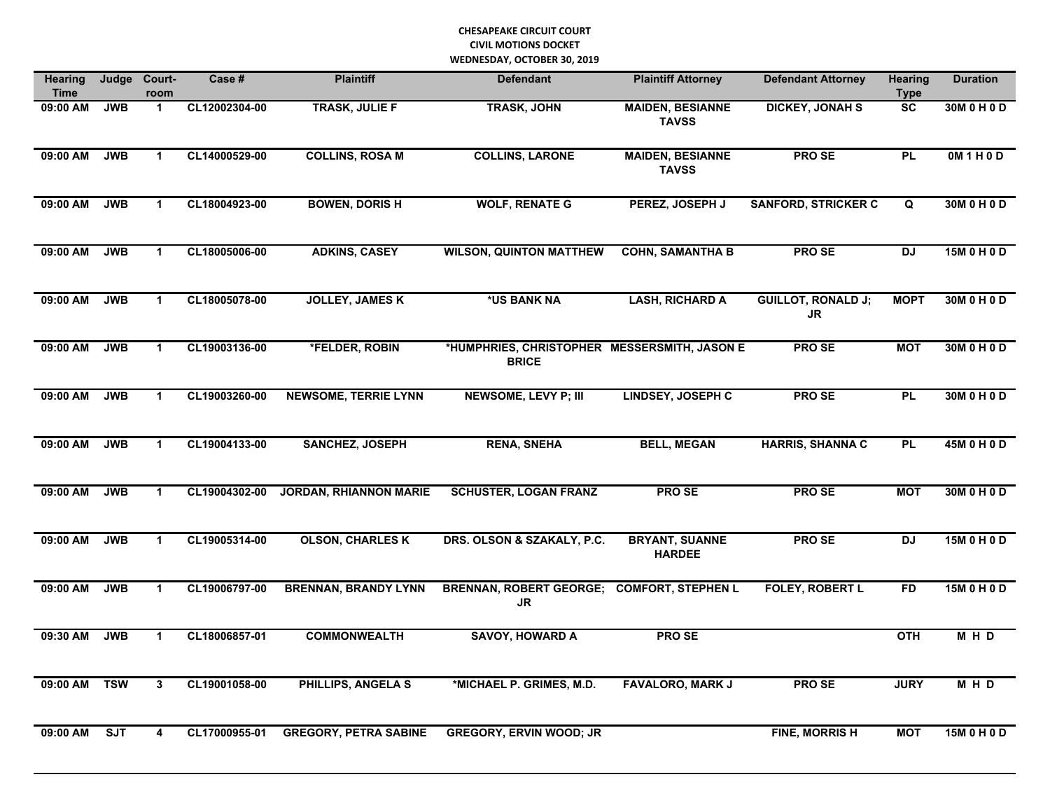| <b>Hearing</b><br><b>Time</b> | Judge      | Court-<br>room       | Case #        | <b>Plaintiff</b>              | <b>Defendant</b>                                             | <b>Plaintiff Attorney</b>               | <b>Defendant Attorney</b>       | <b>Hearing</b><br><b>Type</b> | <b>Duration</b> |
|-------------------------------|------------|----------------------|---------------|-------------------------------|--------------------------------------------------------------|-----------------------------------------|---------------------------------|-------------------------------|-----------------|
| $09:00$ AM                    | <b>JWB</b> | $\mathbf{1}$         | CL12002304-00 | <b>TRASK, JULIE F</b>         | <b>TRASK, JOHN</b>                                           | <b>MAIDEN, BESIANNE</b><br><b>TAVSS</b> | <b>DICKEY, JONAH S</b>          | $\overline{\text{sc}}$        | 30M 0 H 0 D     |
| $09:00$ AM                    | <b>JWB</b> | $\blacktriangleleft$ | CL14000529-00 | <b>COLLINS, ROSA M</b>        | <b>COLLINS, LARONE</b>                                       | <b>MAIDEN, BESIANNE</b><br><b>TAVSS</b> | <b>PROSE</b>                    | <b>PL</b>                     | OM1H0D          |
| 09:00 AM                      | <b>JWB</b> | $\blacktriangleleft$ | CL18004923-00 | <b>BOWEN, DORIS H</b>         | <b>WOLF, RENATE G</b>                                        | PEREZ, JOSEPH J                         | <b>SANFORD, STRICKER C</b>      | $\overline{Q}$                | 30M 0 H 0 D     |
| 09:00 AM                      | <b>JWB</b> | $\blacktriangleleft$ | CL18005006-00 | <b>ADKINS, CASEY</b>          | <b>WILSON, QUINTON MATTHEW</b>                               | <b>COHN, SAMANTHA B</b>                 | <b>PROSE</b>                    | <b>DJ</b>                     | 15M 0 H 0 D     |
| 09:00 AM                      | <b>JWB</b> | $\blacktriangleleft$ | CL18005078-00 | <b>JOLLEY, JAMES K</b>        | *US BANK NA                                                  | <b>LASH, RICHARD A</b>                  | <b>GUILLOT, RONALD J;</b><br>JR | <b>MOPT</b>                   | 30M 0 H 0 D     |
| 09:00 AM                      | <b>JWB</b> | $\blacktriangleleft$ | CL19003136-00 | *FELDER, ROBIN                | *HUMPHRIES, CHRISTOPHER MESSERSMITH, JASON E<br><b>BRICE</b> |                                         | <b>PROSE</b>                    | <b>MOT</b>                    | 30M 0 H 0 D     |
| 09:00 AM                      | <b>JWB</b> | $\blacktriangleleft$ | CL19003260-00 | <b>NEWSOME, TERRIE LYNN</b>   | <b>NEWSOME, LEVY P; III</b>                                  | <b>LINDSEY, JOSEPH C</b>                | <b>PROSE</b>                    | <b>PL</b>                     | 30M 0 H 0 D     |
| 09:00 AM                      | <b>JWB</b> | $\mathbf{1}$         | CL19004133-00 | <b>SANCHEZ, JOSEPH</b>        | <b>RENA, SNEHA</b>                                           | <b>BELL, MEGAN</b>                      | <b>HARRIS, SHANNA C</b>         | <b>PL</b>                     | 45M 0 H 0 D     |
| 09:00 AM                      | <b>JWB</b> | $\mathbf{1}$         | CL19004302-00 | <b>JORDAN, RHIANNON MARIE</b> | <b>SCHUSTER, LOGAN FRANZ</b>                                 | <b>PROSE</b>                            | PRO SE                          | <b>MOT</b>                    | 30M 0 H 0 D     |
| 09:00 AM                      | <b>JWB</b> | $\mathbf{1}$         | CL19005314-00 | <b>OLSON, CHARLES K</b>       | DRS. OLSON & SZAKALY, P.C.                                   | <b>BRYANT, SUANNE</b><br><b>HARDEE</b>  | PRO SE                          | <b>DJ</b>                     | 15M 0 H 0 D     |
| 09:00 AM                      | <b>JWB</b> | $\mathbf{1}$         | CL19006797-00 | <b>BRENNAN, BRANDY LYNN</b>   | <b>BRENNAN, ROBERT GEORGE;</b><br><b>JR</b>                  | <b>COMFORT, STEPHEN L</b>               | <b>FOLEY, ROBERT L</b>          | <b>FD</b>                     | 15M 0 H 0 D     |
| 09:30 AM                      | <b>JWB</b> | $\mathbf{1}$         | CL18006857-01 | <b>COMMONWEALTH</b>           | <b>SAVOY, HOWARD A</b>                                       | <b>PROSE</b>                            |                                 | <b>OTH</b>                    | M H D           |
| 09:00 AM                      | <b>TSW</b> | 3                    | CL19001058-00 | <b>PHILLIPS, ANGELA S</b>     | *MICHAEL P. GRIMES, M.D.                                     | <b>FAVALORO, MARK J</b>                 | <b>PROSE</b>                    | <b>JURY</b>                   | M H D           |
| 09:00 AM                      | <b>SJT</b> | 4                    | CL17000955-01 | <b>GREGORY, PETRA SABINE</b>  | <b>GREGORY, ERVIN WOOD; JR</b>                               |                                         | <b>FINE, MORRISH</b>            | <b>MOT</b>                    | 15M 0 H 0 D     |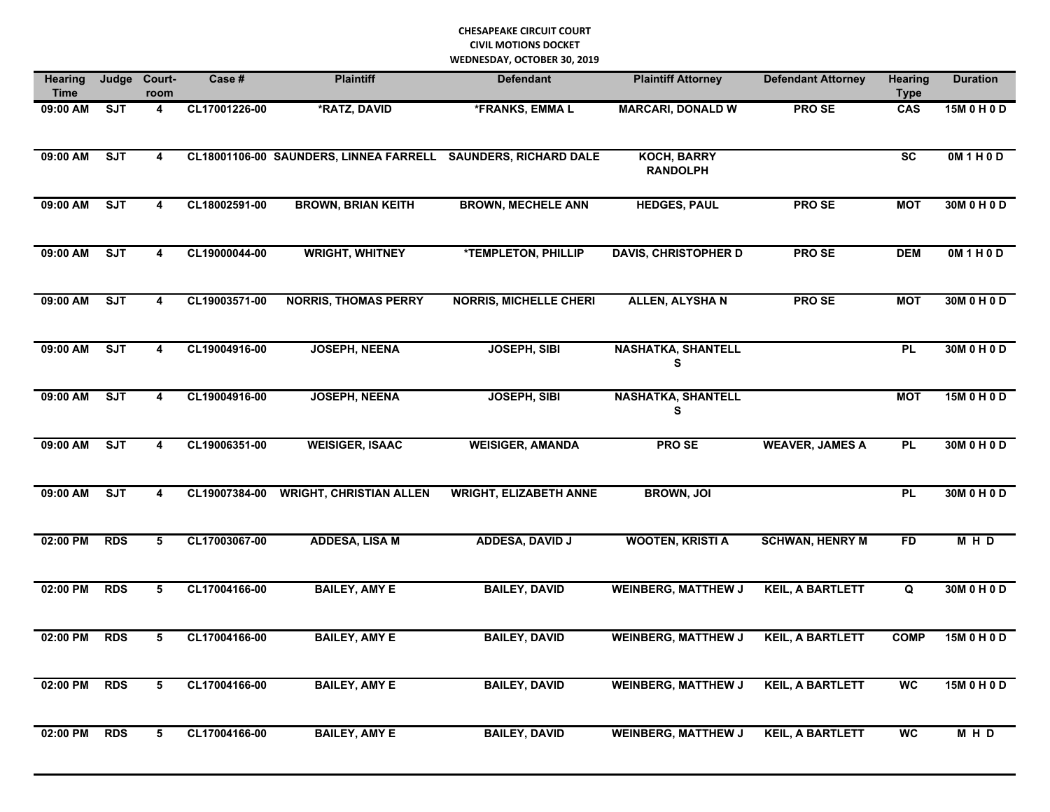| <b>Hearing</b><br><b>Time</b> | Judge      | Court-<br>room          | Case #        | <b>Plaintiff</b>                       | <b>Defendant</b>              | <b>Plaintiff Attorney</b>             | <b>Defendant Attorney</b> | <b>Hearing</b><br><b>Type</b> | <b>Duration</b> |
|-------------------------------|------------|-------------------------|---------------|----------------------------------------|-------------------------------|---------------------------------------|---------------------------|-------------------------------|-----------------|
| 09:00 AM                      | SJT        | $\overline{\mathbf{4}}$ | CL17001226-00 | *RATZ, DAVID                           | *FRANKS, EMMAL                | <b>MARCARI, DONALD W</b>              | <b>PROSE</b>              | CAS                           | 15M 0 H 0 D     |
| 09:00 AM                      | <b>SJT</b> | 4                       |               | CL18001106-00 SAUNDERS, LINNEA FARRELL | <b>SAUNDERS, RICHARD DALE</b> | <b>KOCH, BARRY</b><br><b>RANDOLPH</b> |                           | <b>SC</b>                     | OM1H0D          |
| 09:00 AM                      | SJT        | 4                       | CL18002591-00 | <b>BROWN, BRIAN KEITH</b>              | <b>BROWN, MECHELE ANN</b>     | <b>HEDGES, PAUL</b>                   | <b>PROSE</b>              | <b>MOT</b>                    | 30M 0 H 0 D     |
| 09:00 AM                      | SJT        | 4                       | CL19000044-00 | <b>WRIGHT, WHITNEY</b>                 | <b>*TEMPLETON, PHILLIP</b>    | <b>DAVIS, CHRISTOPHER D</b>           | <b>PROSE</b>              | <b>DEM</b>                    | OM1H0D          |
| 09:00 AM                      | SJT        | 4                       | CL19003571-00 | <b>NORRIS, THOMAS PERRY</b>            | <b>NORRIS, MICHELLE CHERI</b> | <b>ALLEN, ALYSHAN</b>                 | <b>PROSE</b>              | <b>MOT</b>                    | 30M 0 H 0 D     |
| 09:00 AM                      | SJT        | 4                       | CL19004916-00 | <b>JOSEPH, NEENA</b>                   | <b>JOSEPH, SIBI</b>           | <b>NASHATKA, SHANTELL</b><br>S        |                           | PL                            | 30M 0 H 0 D     |
| 09:00 AM                      | SJT        | $\overline{\mathbf{4}}$ | CL19004916-00 | <b>JOSEPH, NEENA</b>                   | <b>JOSEPH, SIBI</b>           | <b>NASHATKA, SHANTELL</b><br>S        |                           | <b>MOT</b>                    | 15M 0 H 0 D     |
| 09:00 AM                      | ST         | $\overline{\mathbf{4}}$ | CL19006351-00 | <b>WEISIGER, ISAAC</b>                 | <b>WEISIGER, AMANDA</b>       | <b>PROSE</b>                          | <b>WEAVER, JAMES A</b>    | PL                            | 30M 0 H 0 D     |
| 09:00 AM                      | ST         | 4                       | CL19007384-00 | <b>WRIGHT, CHRISTIAN ALLEN</b>         | <b>WRIGHT, ELIZABETH ANNE</b> | <b>BROWN, JOI</b>                     |                           | PL                            | 30M 0 H 0 D     |
| 02:00 PM                      | <b>RDS</b> | 5                       | CL17003067-00 | <b>ADDESA, LISA M</b>                  | ADDESA, DAVID J               | <b>WOOTEN, KRISTI A</b>               | <b>SCHWAN, HENRY M</b>    | <b>FD</b>                     | M H D           |
| 02:00 PM                      | <b>RDS</b> | 5                       | CL17004166-00 | <b>BAILEY, AMY E</b>                   | <b>BAILEY, DAVID</b>          | <b>WEINBERG, MATTHEW J</b>            | <b>KEIL, A BARTLETT</b>   | Q                             | 30M 0 H 0 D     |
| 02:00 PM                      | <b>RDS</b> | 5                       | CL17004166-00 | <b>BAILEY, AMY E</b>                   | <b>BAILEY, DAVID</b>          | <b>WEINBERG, MATTHEW J</b>            | <b>KEIL, A BARTLETT</b>   | <b>COMP</b>                   | 15M 0 H 0 D     |
| 02:00 PM                      | <b>RDS</b> | 5                       | CL17004166-00 | <b>BAILEY, AMY E</b>                   | <b>BAILEY, DAVID</b>          | <b>WEINBERG, MATTHEW J</b>            | <b>KEIL, A BARTLETT</b>   | <b>WC</b>                     | 15M 0 H 0 D     |
| 02:00 PM                      | <b>RDS</b> | 5                       | CL17004166-00 | <b>BAILEY, AMY E</b>                   | <b>BAILEY, DAVID</b>          | <b>WEINBERG, MATTHEW J</b>            | <b>KEIL, A BARTLETT</b>   | <b>WC</b>                     | M H D           |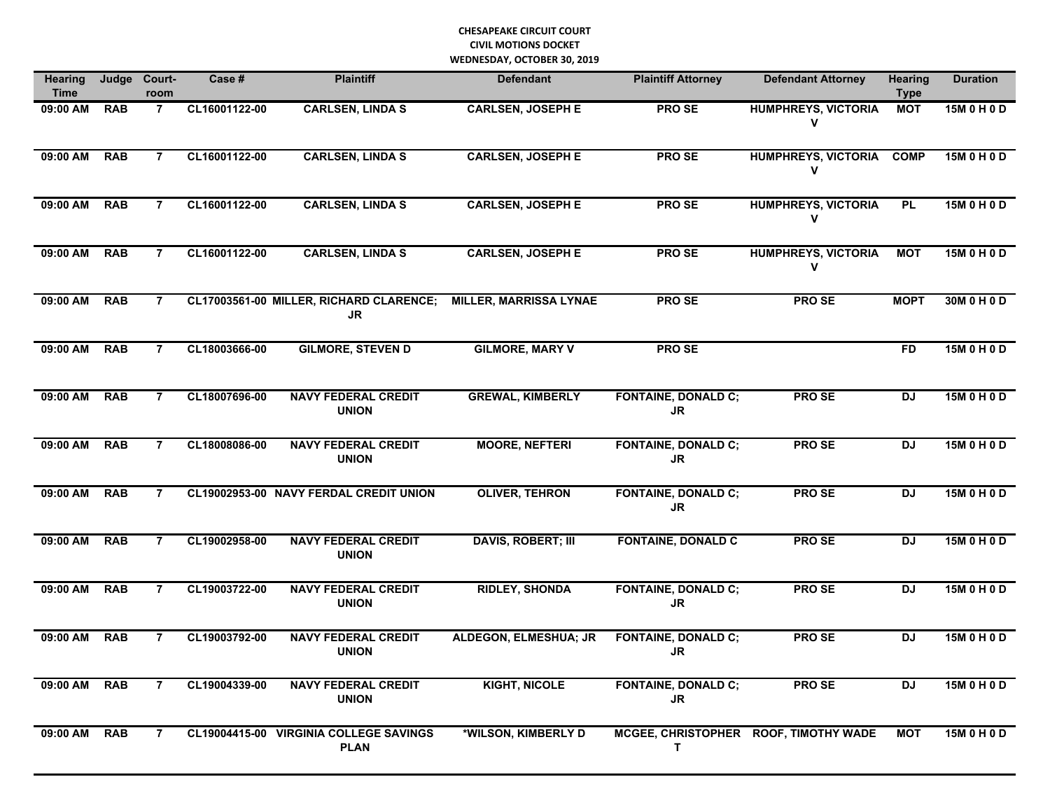| <b>Hearing</b><br><b>Time</b> | Judge      | Court-<br>room | Case #        | <b>Plaintiff</b>                                     | <b>Defendant</b>              | <b>Plaintiff Attorney</b>               | <b>Defendant Attorney</b>             | <b>Hearing</b><br><b>Type</b> | <b>Duration</b> |
|-------------------------------|------------|----------------|---------------|------------------------------------------------------|-------------------------------|-----------------------------------------|---------------------------------------|-------------------------------|-----------------|
| 09:00 AM                      | <b>RAB</b> | $\mathbf{7}$   | CL16001122-00 | <b>CARLSEN, LINDA S</b>                              | <b>CARLSEN, JOSEPH E</b>      | <b>PROSE</b>                            | <b>HUMPHREYS, VICTORIA</b><br>V       | <b>MOT</b>                    | 15M 0 H 0 D     |
| 09:00 AM                      | <b>RAB</b> | $\overline{7}$ | CL16001122-00 | <b>CARLSEN, LINDA S</b>                              | <b>CARLSEN, JOSEPH E</b>      | PRO SE                                  | <b>HUMPHREYS, VICTORIA</b><br>V       | <b>COMP</b>                   | 15M 0 H 0 D     |
| 09:00 AM                      | <b>RAB</b> | 7              | CL16001122-00 | <b>CARLSEN, LINDA S</b>                              | <b>CARLSEN, JOSEPH E</b>      | PRO SE                                  | <b>HUMPHREYS, VICTORIA</b><br>V       | <b>PL</b>                     | 15M 0 H 0 D     |
| 09:00 AM                      | <b>RAB</b> | 7              | CL16001122-00 | <b>CARLSEN, LINDA S</b>                              | <b>CARLSEN, JOSEPH E</b>      | PRO SE                                  | <b>HUMPHREYS, VICTORIA</b><br>۷       | <b>NOT</b>                    | 15M 0 H 0 D     |
| 09:00 AM                      | <b>RAB</b> | 7              |               | CL17003561-00 MILLER, RICHARD CLARENCE;<br><b>JR</b> | <b>MILLER, MARRISSA LYNAE</b> | <b>PROSE</b>                            | <b>PROSE</b>                          | <b>MOPT</b>                   | 30M 0 H 0 D     |
| 09:00 AM                      | <b>RAB</b> | 7              | CL18003666-00 | <b>GILMORE, STEVEN D</b>                             | <b>GILMORE, MARY V</b>        | <b>PROSE</b>                            |                                       | <b>FD</b>                     | 15M 0 H 0 D     |
| 09:00 AM                      | <b>RAB</b> | $\overline{7}$ | CL18007696-00 | <b>NAVY FEDERAL CREDIT</b><br><b>UNION</b>           | <b>GREWAL, KIMBERLY</b>       | <b>FONTAINE, DONALD C;</b><br><b>JR</b> | <b>PROSE</b>                          | <b>DJ</b>                     | 15M 0 H 0 D     |
| 09:00 AM                      | <b>RAB</b> | $\overline{7}$ | CL18008086-00 | <b>NAVY FEDERAL CREDIT</b><br><b>UNION</b>           | <b>MOORE, NEFTERI</b>         | <b>FONTAINE, DONALD C;</b><br><b>JR</b> | <b>PROSE</b>                          | <b>DJ</b>                     | 15M 0 H 0 D     |
| 09:00 AM                      | <b>RAB</b> | $\overline{7}$ |               | CL19002953-00 NAVY FERDAL CREDIT UNION               | <b>OLIVER, TEHRON</b>         | <b>FONTAINE, DONALD C;</b><br><b>JR</b> | <b>PROSE</b>                          | <b>DJ</b>                     | 15M 0 H 0 D     |
| 09:00 AM                      | <b>RAB</b> | $\overline{7}$ | CL19002958-00 | <b>NAVY FEDERAL CREDIT</b><br><b>UNION</b>           | <b>DAVIS, ROBERT; III</b>     | <b>FONTAINE, DONALD C</b>               | <b>PROSE</b>                          | <b>DJ</b>                     | 15M 0 H 0 D     |
| 09:00 AM                      | <b>RAB</b> | $\overline{7}$ | CL19003722-00 | <b>NAVY FEDERAL CREDIT</b><br><b>UNION</b>           | <b>RIDLEY, SHONDA</b>         | <b>FONTAINE, DONALD C;</b><br><b>JR</b> | <b>PROSE</b>                          | <b>DJ</b>                     | 15M 0 H 0 D     |
| 09:00 AM                      | <b>RAB</b> | 7              | CL19003792-00 | <b>NAVY FEDERAL CREDIT</b><br><b>UNION</b>           | <b>ALDEGON, ELMESHUA; JR</b>  | <b>FONTAINE, DONALD C;</b><br>JR        | <b>PROSE</b>                          | <b>DJ</b>                     | 15M 0 H 0 D     |
| 09:00 AM                      | <b>RAB</b> | $\overline{7}$ | CL19004339-00 | <b>NAVY FEDERAL CREDIT</b><br><b>UNION</b>           | <b>KIGHT, NICOLE</b>          | <b>FONTAINE, DONALD C;</b><br>JR        | PRO SE                                | <b>DJ</b>                     | 15M 0 H 0 D     |
| 09:00 AM                      | <b>RAB</b> | $\overline{7}$ | CL19004415-00 | <b>VIRGINIA COLLEGE SAVINGS</b><br><b>PLAN</b>       | *WILSON, KIMBERLY D           | т                                       | MCGEE, CHRISTOPHER ROOF, TIMOTHY WADE | <b>MOT</b>                    | 15M 0 H 0 D     |